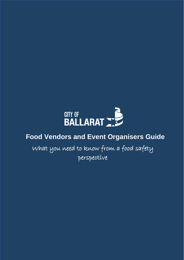

# **Food Vendors and Event Organisers Guide**

What you need to know from a food safety perspective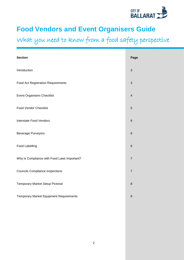

# **Food Vendors and Event Organisers Guide**

What you need to know from a food safety perspective

| <b>Section</b>                                 | Page                      |
|------------------------------------------------|---------------------------|
| Introduction                                   | $\ensuremath{\mathsf{3}}$ |
| Food Act Registration Requirements             | $\ensuremath{\mathsf{3}}$ |
| <b>Event Organisers Checklist</b>              | $\overline{4}$            |
| <b>Food Vendor Checklist</b>                   | $\sqrt{5}$                |
| Interstate Food Vendors                        | $\,6\,$                   |
| <b>Beverage Purveyors</b>                      | $\,6\,$                   |
| Food Labelling                                 | $\,$ 6 $\,$               |
| Why Is Compliance with Food Laws Important?    | $\boldsymbol{7}$          |
| <b>Councils Compliance Inspections</b>         | $\overline{7}$            |
| Temporary Market Setup Pictorial               | $\,8\,$                   |
| <b>Temporary Market Equipment Requirements</b> | $\boldsymbol{9}$          |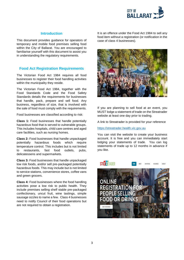

#### **Introduction**

This document provides guidance for operators of temporary and mobile food premises selling food within the City of Ballarat. You are encouraged to familiarise yourself with this document to assist you in understanding the regulatory requirements.

#### **Food Act Registration Requirements**

The Victorian Food Act 1984 requires all food businesses to register their food handling activities within the municipality they reside.

The Victorian Food Act 1984, together with the Food Standards Code and the Food Safety Standards details the requirements for businesses that handle, pack, prepare and sell food. Any business, regardless of size, that is involved with the sale of food must comply with the requirements.

Food businesses are classified according to risk:

**Class 1:** Food businesses that handle potentially hazardous food that is served to vulnerable groups. This includes hospitals, child care centres and aged care facilities, such as nursing homes.

**Class 2:** Food businesses that handle unpackaged potentially hazardous foods which require temperature control. This includes but is not limited to restaurants, fast food outlets, pubs, delicatessens and supermarkets.

**Class 3:** Food businesses that handle unpackaged low risk foods, and/or sell pre-packaged potentially hazardous foods. This may include but is not limited to service stations, convenience stores, coffee vans and green grocers.

**Class 4:** Food businesses where the food handling activities pose a low risk to public health. They include premises selling shelf stable pre-packaged confectionary, uncut fruit, wine tastings, simple sausage sizzles to name a few. Class 4 businesses need to notify Council of their food operations but are not required to obtain a registration.

It is an offence under the Food Act 1984 to sell any food item without a registration (or notification in the case of class 4 businesses).



If you are planning to sell food at an event, you MUST lodge a statement of trade on the Streatrader website at least one day prior to trading.

A link to Streatrader is provided for your reference

[https://streatrader.health.vic.gov.au](https://streatrader.health.vic.gov.au/)

You can visit the website to create your business account. It is free and you can immediately start lodging your statements of trade. You can log statements of trade up to 12 months in advance if you like.

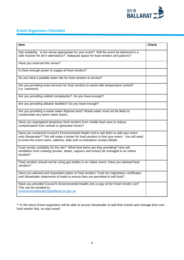

# **Event Organisers Checklist**

| <b>Item</b>                                                                                                                                                                                                                                                       | <b>Check</b> |
|-------------------------------------------------------------------------------------------------------------------------------------------------------------------------------------------------------------------------------------------------------------------|--------------|
| Site suitability. Is the venue appropriate for your event? Will the event be delivered in a<br>safe manner for all in attendance? Adequate space for food vendors and patrons?                                                                                    |              |
| Have you reserved the venue?                                                                                                                                                                                                                                      |              |
| Is there enough power to supply all food vendors?                                                                                                                                                                                                                 |              |
| Do you have a potable water site for food vendors to access?                                                                                                                                                                                                      |              |
| Are you providing extra services for food vendors to assist with temperature control?<br>(i.e. coolroom)                                                                                                                                                          |              |
| Are you providing rubbish receptacles? Do you have enough?                                                                                                                                                                                                        |              |
| Are you providing ablution facilities? Do you have enough?                                                                                                                                                                                                        |              |
| Are you providing a waste water disposal area? Waste water must not be likely to<br>contaminate any storm water drains.                                                                                                                                           |              |
| Have you segregated temporary food vendors from mobile food vans to reduce<br>contamination from vehicle or generator fumes?                                                                                                                                      |              |
| Have you contacted Council's Environmental Health Unit to ask them to add your event<br>onto Streatrader? This will make it easier for food vendors to find your event. You will need<br>to know the event name, address, date and co-ordinators contact details. |              |
| Food vendor suitability for the site? What food items are they providing? How will<br>ventilation from cooking (smoke, steam, vapours and fumes) be managed in an indoor<br>location?                                                                             |              |
| Food vendors should not be using gas bottles in an indoor event. Have you advised food<br>vendors?                                                                                                                                                                |              |
| Have you advised and requested copies of food vendors' Food Act registration certificates<br>and Streatrader statements of trade to ensure they are permitted to sell food?                                                                                       |              |
| Have you provided Council's Environmental Health Unit a copy of the Food Vendor List?<br>This can be emailed to:<br>environmentalhealth2@ballarat.vic.gov.au                                                                                                      |              |

\*\* In the future Event organisers will be able to access Streatrader to add their events and manage their own food vendor lists, so stay tuned!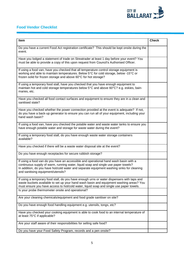

# **Food Vendor Checklist**

| Item                                                                                                                                                                                                                                                                                                                                  | <b>Check</b> |
|---------------------------------------------------------------------------------------------------------------------------------------------------------------------------------------------------------------------------------------------------------------------------------------------------------------------------------------|--------------|
| Do you have a current Food Act registration certificate? This should be kept onsite during the<br>event.                                                                                                                                                                                                                              |              |
| Have you lodged a statement of trade on Streatrader at least 1 day before your event? You<br>must be able to provide a copy of this upon request from Council's Authorised Officer.                                                                                                                                                   |              |
| If using a food van, have you checked that all temperature control storage equipment is<br>working and able to maintain temperatures. Below 5°C for cold storage, below -15°C or<br>frozen solid for frozen storage and above 60°C for hot storage?                                                                                   |              |
| If using a temporary food stall, have you checked that you have enough equipment to<br>maintain hot and cold storage temperatures below 5°C and above 60°C? e.g. eskies, bain-<br>maries, etc.                                                                                                                                        |              |
| Have you checked all food contact surfaces and equipment to ensure they are in a clean and<br>sanitised state?                                                                                                                                                                                                                        |              |
| Have you checked whether the power connection provided at the event is adequate? If not,<br>do you have a back-up generator to ensure you can run all of your equipment, including your<br>hand wash basin?                                                                                                                           |              |
| If using a food van, have you checked the potable water and waste water tanks to ensure you<br>have enough potable water and storage for waste water during the event?                                                                                                                                                                |              |
| If using a temporary food stall, do you have enough waste water storage containers<br>available?                                                                                                                                                                                                                                      |              |
| Have you checked if there will be a waste water disposal site at the event?                                                                                                                                                                                                                                                           |              |
| Do you have enough receptacles for secure rubbish storage?                                                                                                                                                                                                                                                                            |              |
| If using a food van do you have an accessible and operational hand wash basin with a<br>continuous supply of warm, running water, liquid soap and single use paper towels?<br>In addition, do you have hot/cold water and separate equipment washing sinks for cleaning<br>and sanitising equipment/utensils?                         |              |
| If using a temporary food stall, do you have enough urns or water dispensers with taps and<br>waste buckets available to set up your hand wash basin and equipment washing areas? You<br>must ensure you have access to hot/cold water, liquid soap and single use paper towels.<br>Is your probe thermometer onsite and operational? |              |
|                                                                                                                                                                                                                                                                                                                                       |              |
| Are your cleaning chemicals/equipment and food grade sanitiser on site?                                                                                                                                                                                                                                                               |              |
| Do you have enough food handling equipment e.g. utensils, tongs, etc?                                                                                                                                                                                                                                                                 |              |
| Have you checked your cooking equipment is able to cook food to an internal temperature of<br>at least 75°C if applicable?                                                                                                                                                                                                            |              |
| Are your staff aware of their responsibilities for selling safe food?                                                                                                                                                                                                                                                                 |              |
| Do you have your Food Safety Program, records and a pen onsite?                                                                                                                                                                                                                                                                       |              |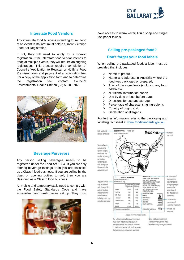

#### **Interstate Food Vendors**

Any interstate food business intending to sell food at an event in Ballarat must hold a current Victorian Food Act Registration.

If not, they will need to apply for a one‐off registration. If the interstate food vendor intends to trade at multiple events, they will require an ongoing registration. This process requires completion of Council's 'Application to Register or Notify a Food Premises' form and payment of a registration fee. For a copy of the application form and to determine the registration fee, contact Council's Environmental Health Unit on (03) 5320 5702.



#### **Beverage Purveyors**

Any person selling beverages needs to be registered under the Food Act 1984. If you are only offering beverage tastings, then you are classified as a Class 4 food business. If you are selling by the glass or opening bottles to sell, then you are classified as a Class 3 food business.

All mobile and temporary stalls need to comply with the Food Safety Standards Code and have accessible hand wash basins set up. They must



have access to warm water, liquid soap and single use paper towels.

### **Selling pre-packaged food?**

#### **Don't forget your food labels**

When selling pre-packaged food, a label must be provided that includes:

- ➢ Name of product;
- ➢ Name and address in Australia where the food was packaged or prepared;
- $\triangleright$  A list of the ingredients (including any food additives);
- ➢ Nutritional information panel;
- $\triangleright$  Use by date or best before date;
- ➢ Directions for use and storage;
- $\triangleright$  Percentage of characterising ingredients
- $\triangleright$  Country of origin; and
- ➢ Declaration of allergens.

For further information refer to the packaging and labelling fact sheet at [www.foodstandards.gov.au](http://www.foodstandards.gov.au/)

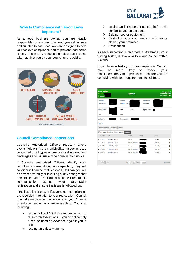

#### **Why Is Compliance with Food Laws Important?**

As a food business owner, you are legally responsible for ensuring the food you sell is safe and suitable to eat. Food laws are designed to help you achieve compliance and to prevent food borne illness. This in turn, reduces the risk of action being taken against you by your council or the public.



## **Council Compliance Inspections**

Council's Authorised Officers regularly attend events held within the municipality. Inspections are conducted on all types of premises selling food and beverages and will usually be done without notice.

If Councils Authorised Officers identify noncompliance items during an inspection, they will consider if it can be rectified easily. If it can, you will be advised verbally or in writing of any changes that need to be made. The Council officer will record this communication against your Streatrader registration and ensure the issue is followed up.

If the issue is serious, or if several non-compliances are recorded in relation to your registration, Council may take enforcement action against you. A range of enforcement options are available to Councils, including:

- ➢ Issuing a Food Act Notice requesting you to take corrective actions. If you do not comply it can be used as evidence against you in court.
- $\triangleright$  Issuing an official warning.
- $\triangleright$  Issuing an infringement notice (fine) this can be issued on the spot.
- Seizing food or equipment.
- ➢ Restricting your food handling activities or closing your premises.
- ➢ Prosecution.

As each inspection is recorded in Streatrader, your trading history is available to every Council within Victoria.

If you have a history of non-compliance, Council may be more likely to inspect your mobile/temporary food premises to ensure you are complying with your requirements to sell food.

| <b>Mobile - Business</b><br>Premises No.:<br>RegiNot No.: |                                               |                           |                                       | <b>Registration</b>  |                                                 |                  | Date Lodged : 15 Jan 13<br>Registration From: 01 Apr 19<br>Due For Renewal: 31 Mar 20 |  |
|-----------------------------------------------------------|-----------------------------------------------|---------------------------|---------------------------------------|----------------------|-------------------------------------------------|------------------|---------------------------------------------------------------------------------------|--|
|                                                           | <b>Trading Name</b><br><b>Premises Number</b> |                           | Proprietor<br><b>Premises Address</b> |                      | <b>Primary Contact</b><br><b>Postal Address</b> |                  |                                                                                       |  |
|                                                           | <b>Premises Description</b>                   |                           | Class                                 | Class <sub>2</sub>   | Frequency (months)                              |                  |                                                                                       |  |
|                                                           | Officer                                       |                           | <b>File No</b>                        |                      |                                                 |                  |                                                                                       |  |
|                                                           | <b>Last Assessment</b>                        |                           | <b>Next Assessment</b>                |                      |                                                 |                  |                                                                                       |  |
|                                                           | <b>Comments</b>                               |                           |                                       |                      |                                                 |                  |                                                                                       |  |
|                                                           | <b>Change Premises Details</b>                | <b>Close Premises</b>     | Create SOT                            |                      |                                                 |                  |                                                                                       |  |
|                                                           | SOT (43) Actions                              | Comments (34)<br>Contacts | Compliance (5)<br>Documents           |                      |                                                 |                  |                                                                                       |  |
|                                                           | <b>INSPECTED</b>                              | TYPE                      |                                       | COMPLIED.            | <b>OFFICER</b>                                  | COUNCIL.         |                                                                                       |  |
| i                                                         | 22-Feb-2019                                   | ROUTINE INSPECTION        |                                       | Compliant            |                                                 | City of Ballarat | Ù                                                                                     |  |
| i                                                         | 24-Jan-2016                                   | ROUTINE INSPECTION        |                                       | Major Non Compliance |                                                 | City of Ballarat | Ù                                                                                     |  |
| i                                                         | 26-Jul-2015                                   | ROUTINE INSPECTION        |                                       | Compliant            |                                                 | City of Ballarat | Ù                                                                                     |  |
|                                                           | 19-Oct-2014                                   | ROUTINE INSPECTION        |                                       | Major Non Compliance |                                                 | City of Ballarat | û                                                                                     |  |
|                                                           |                                               | ROUTINE INSPECTION        |                                       | Major Non Compliance |                                                 | City of Ballarat | Ù                                                                                     |  |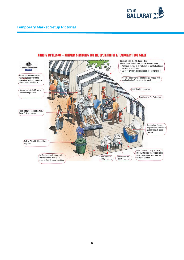



#### **ARTISTS IMPRESSION - MINIMUM STANDARDS FOR THE OPERATION OF A TEMPORARY FOOD STALL**